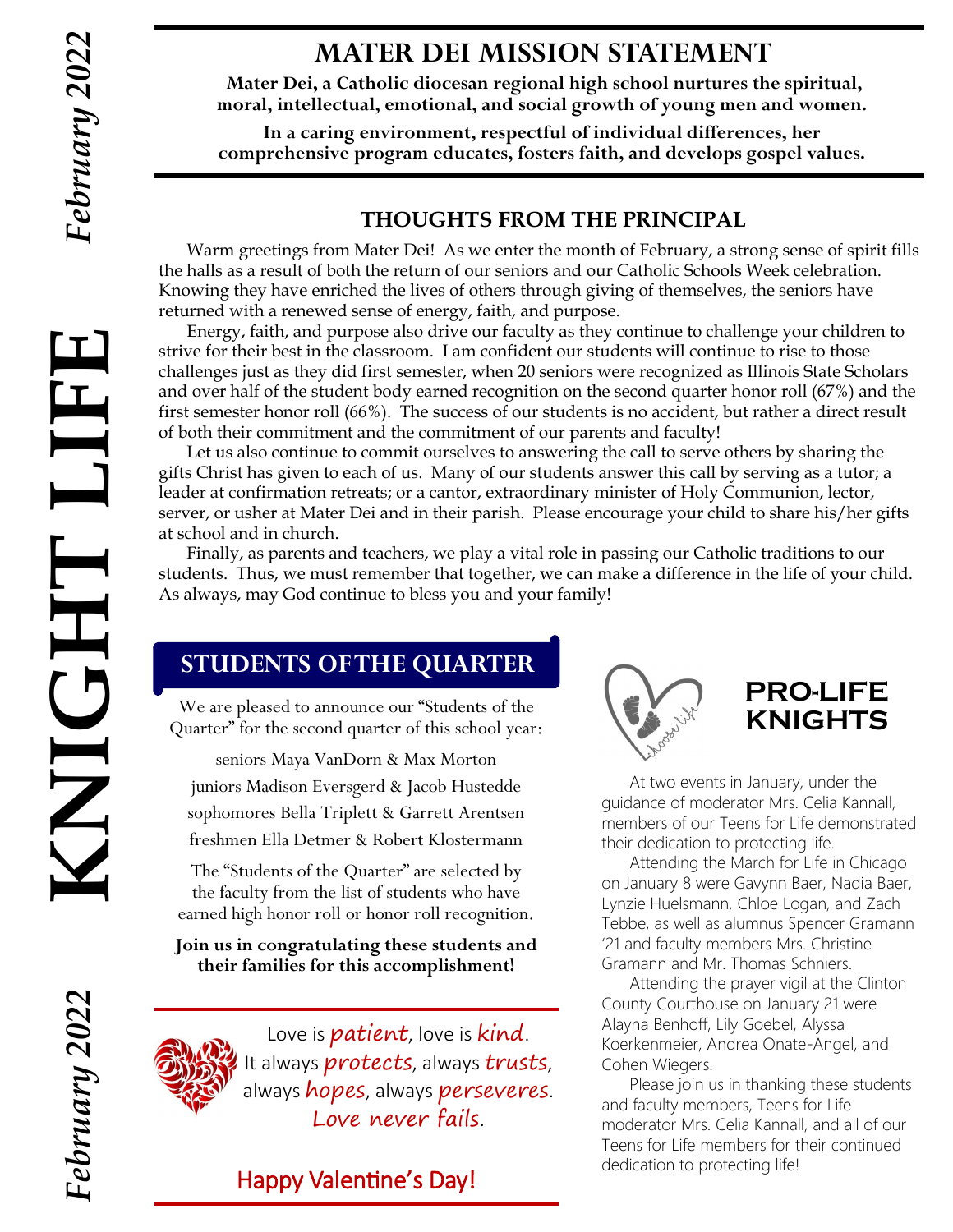$\prod$ 

THOINX

# **MATER DEI MISSION STATEMENT**

**Mater Dei, a Catholic diocesan regional high school nurtures the spiritual, moral, intellectual, emotional, and social growth of young men and women.**

**In a caring environment, respectful of individual differences, her comprehensive program educates, fosters faith, and develops gospel values.**

## **THOUGHTS FROM THE PRINCIPAL**

Warm greetings from Mater Dei! As we enter the month of February, a strong sense of spirit fills the halls as a result of both the return of our seniors and our Catholic Schools Week celebration. Knowing they have enriched the lives of others through giving of themselves, the seniors have returned with a renewed sense of energy, faith, and purpose.

Energy, faith, and purpose also drive our faculty as they continue to challenge your children to strive for their best in the classroom. I am confident our students will continue to rise to those challenges just as they did first semester, when 20 seniors were recognized as Illinois State Scholars and over half of the student body earned recognition on the second quarter honor roll (67%) and the first semester honor roll (66%). The success of our students is no accident, but rather a direct result of both their commitment and the commitment of our parents and faculty! **KNIGHT LIFE**

Let us also continue to commit ourselves to answering the call to serve others by sharing the gifts Christ has given to each of us. Many of our students answer this call by serving as a tutor; a leader at confirmation retreats; or a cantor, extraordinary minister of Holy Communion, lector, server, or usher at Mater Dei and in their parish. Please encourage your child to share his/her gifts at school and in church.

Finally, as parents and teachers, we play a vital role in passing our Catholic traditions to our students. Thus, we must remember that together, we can make a difference in the life of your child. As always, may God continue to bless you and your family!

# **STUDENTS OF THE QUARTER**

We are pleased to announce our "Students of the Quarter" for the second quarter of this school year:

seniors Maya VanDorn & Max Morton juniors Madison Eversgerd & Jacob Hustedde sophomores Bella Triplett & Garrett Arentsen freshmen Ella Detmer & Robert Klostermann

The "Students of the Quarter" are selected by the faculty from the list of students who have earned high honor roll or honor roll recognition.

**Join us in congratulating these students and their families for this accomplishment!** 



Love is *patient*, love is *kind*. It always *protects*, always trusts, always hopes, always perseveres. Love never fails.

# Happy Valentine's Day!



# **PRO-LIFE KNIGHTS**

At two events in January, under the guidance of moderator Mrs. Celia Kannall, members of our Teens for Life demonstrated their dedication to protecting life.

Attending the March for Life in Chicago on January 8 were Gavynn Baer, Nadia Baer, Lynzie Huelsmann, Chloe Logan, and Zach Tebbe, as well as alumnus Spencer Gramann '21 and faculty members Mrs. Christine Gramann and Mr. Thomas Schniers.

Attending the prayer vigil at the Clinton County Courthouse on January 21 were Alayna Benhoff, Lily Goebel, Alyssa Koerkenmeier, Andrea Onate-Angel, and Cohen Wiegers.

Please join us in thanking these students and faculty members, Teens for Life moderator Mrs. Celia Kannall, and all of our Teens for Life members for their continued dedication to protecting life!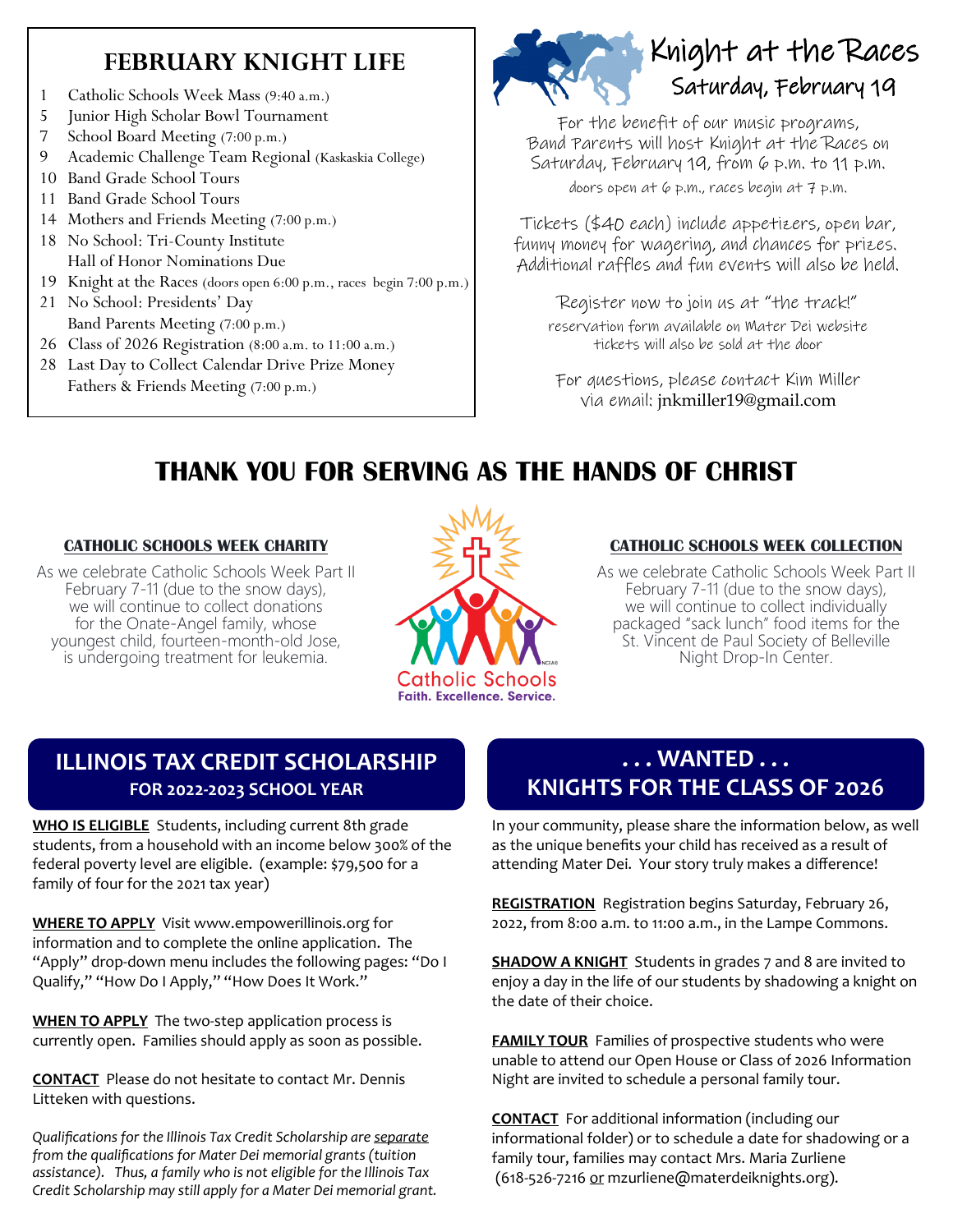# **FEBRUARY KNIGHT LIFE**

- 1 Catholic Schools Week Mass (9:40 a.m.)
- 5 Junior High Scholar Bowl Tournament
- 7 School Board Meeting (7:00 p.m.)
- 9 Academic Challenge Team Regional (Kaskaskia College)
- 10 Band Grade School Tours
- 11 Band Grade School Tours
- 14 Mothers and Friends Meeting (7:00 p.m.)
- 18 No School: Tri-County Institute Hall of Honor Nominations Due
- 19 Knight at the Races (doors open 6:00 p.m., races begin 7:00 p.m.)
- 21 No School: Presidents' Day Band Parents Meeting (7:00 p.m.)
- 26 Class of 2026 Registration (8:00 a.m. to 11:00 a.m.)
- 28 Last Day to Collect Calendar Drive Prize Money Fathers & Friends Meeting (7:00 p.m.)



# Knight at the Races Saturday, February 19

For the benefit of our music programs, Band Parents will host Knight at the Races on Saturday, February 19, from  $\varphi$  p.m. to 11 p.m. doors open at 6 p.m., races begin at 7 p.m.

Tickets (\$40 each) include appetizers, open bar, funny money for wagering, and chances for prizes. Additional raffles and fun events will also be held.

Register now to join us at "the track!"

reservation form available on Mater Dei website tickets will also be sold at the door

For questions, please contact Kim Miller via email: jnkmiller19@gmail.com

# **THANK YOU FOR SERVING AS THE HANDS OF CHRIST**

#### **CATHOLIC SCHOOLS WEEK CHARITY** Ī

As we celebrate Catholic Schools Week Part II February 7-11 (due to the snow days), we will continue to collect donations for the Onate-Angel family, whose youngest child, fourteen-month-old Jose, is undergoing treatment for leukemia.



### **CATHOLIC SCHOOLS WEEK COLLECTION**

Ī As we celebrate Catholic Schools Week Part II February 7-11 (due to the snow days), we will continue to collect individually packaged "sack lunch" food items for the St. Vincent de Paul Society of Belleville Night Drop-In Center.

# **ILLINOIS TAX CREDIT SCHOLARSHIP FOR 2022-2023 SCHOOL YEAR**

**WHO IS ELIGIBLE** Students, including current 8th grade students, from a household with an income below 300% of the federal poverty level are eligible. (example: \$79,500 for a family of four for the 2021 tax year)

**WHERE TO APPLY** Visit www.empowerillinois.org for information and to complete the online application. The "Apply" drop-down menu includes the following pages: "Do I Qualify," "How Do I Apply," "How Does It Work."

**WHEN TO APPLY** The two-step application process is currently open. Families should apply as soon as possible.

**CONTACT** Please do not hesitate to contact Mr. Dennis Litteken with questions.

*Qualifications for the Illinois Tax Credit Scholarship are separate from the qualifications for Mater Dei memorial grants (tuition assistance). Thus, a family who is not eligible for the Illinois Tax Credit Scholarship may still apply for a Mater Dei memorial grant.*

# **. . . WANTED . . . KNIGHTS FOR THE CLASS OF 2026**

In your community, please share the information below, as well as the unique benefits your child has received as a result of attending Mater Dei. Your story truly makes a difference!

**REGISTRATION** Registration begins Saturday, February 26, 2022, from 8:00 a.m. to 11:00 a.m., in the Lampe Commons.

**SHADOW A KNIGHT** Students in grades 7 and 8 are invited to enjoy a day in the life of our students by shadowing a knight on the date of their choice.

**FAMILY TOUR** Families of prospective students who were unable to attend our Open House or Class of 2026 Information Night are invited to schedule a personal family tour.

**CONTACT** For additional information (including our informational folder) or to schedule a date for shadowing or a family tour, families may contact Mrs. Maria Zurliene (618-526-7216 or mzurliene@materdeiknights.org).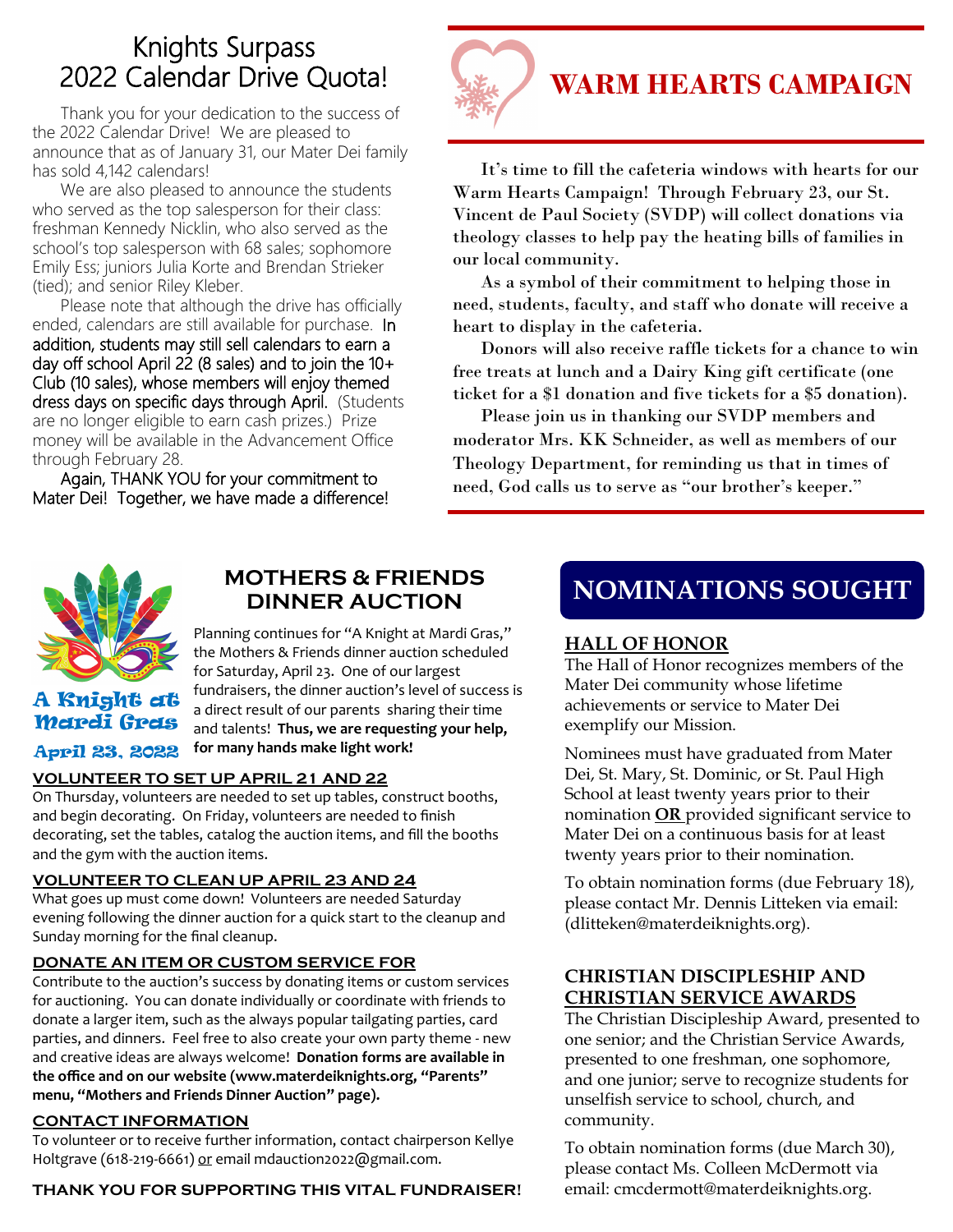# Knights Surpass 2022 Calendar Drive Quota!

 Thank you for your dedication to the success of the 2022 Calendar Drive! We are pleased to announce that as of January 31, our Mater Dei family has sold 4,142 calendars!

We are also pleased to announce the students who served as the top salesperson for their class: freshman Kennedy Nicklin, who also served as the school's top salesperson with 68 sales; sophomore Emily Ess; juniors Julia Korte and Brendan Strieker (tied); and senior Riley Kleber.

Please note that although the drive has officially ended, calendars are still available for purchase. In addition, students may still sell calendars to earn a day off school April 22 (8 sales) and to join the  $10+$ Club (10 sales), whose members will enjoy themed dress days on specific days through April. (Students are no longer eligible to earn cash prizes.) Prize money will be available in the Advancement Office through February 28.

Again, THANK YOU for your commitment to Mater Dei! Together, we have made a difference!



It's time to fill the cafeteria windows with hearts for our Warm Hearts Campaign! Through February 23, our St. Vincent de Paul Society (SVDP) will collect donations via theology classes to help pay the heating bills of families in our local community.

As a symbol of their commitment to helping those in need, students, faculty, and staff who donate will receive a heart to display in the cafeteria.

Donors will also receive raffle tickets for a chance to win free treats at lunch and a Dairy King gift certificate (one ticket for a \$1 donation and five tickets for a \$5 donation).

Please join us in thanking our SVDP members and moderator Mrs. KK Schneider, as well as members of our Theology Department, for reminding us that in times of need, God calls us to serve as "our brother's keeper."



A Knight at Mardi Gras April 23, 2022

### MOTHERS & FRIENDS<br>
NOMINATIONS SOUGHT **DINNER AUCTION**

Planning continues for "A Knight at Mardi Gras," the Mothers & Friends dinner auction scheduled for Saturday, April 23. One of our largest fundraisers, the dinner auction's level of success is a direct result of our parents sharing their time and talents! **Thus, we are requesting your help, for many hands make light work!**

#### **VOLUNTEER TO SET UP APRIL 21 AND 22**

On Thursday, volunteers are needed to set up tables, construct booths, and begin decorating. On Friday, volunteers are needed to finish decorating, set the tables, catalog the auction items, and fill the booths and the gym with the auction items.

### **VOLUNTEER TO CLEAN UP APRIL 23 AND 24**

What goes up must come down! Volunteers are needed Saturday evening following the dinner auction for a quick start to the cleanup and Sunday morning for the final cleanup.

### **DONATE AN ITEM OR CUSTOM SERVICE FOR**

Contribute to the auction's success by donating items or custom services for auctioning. You can donate individually or coordinate with friends to donate a larger item, such as the always popular tailgating parties, card parties, and dinners. Feel free to also create your own party theme - new and creative ideas are always welcome! **Donation forms are available in the office and on our website (www.materdeiknights.org, "Parents" menu, "Mothers and Friends Dinner Auction" page).**

#### **CONTACT INFORMATION**

To volunteer or to receive further information, contact chairperson Kellye Holtgrave (618-219-6661) or email mdauction2022@gmail.com.

#### **THANK YOU FOR SUPPORTING THIS VITAL FUNDRAISER!**

### **HALL OF HONOR**

The Hall of Honor recognizes members of the Mater Dei community whose lifetime achievements or service to Mater Dei exemplify our Mission.

Nominees must have graduated from Mater Dei, St. Mary, St. Dominic, or St. Paul High School at least twenty years prior to their nomination **OR** provided significant service to Mater Dei on a continuous basis for at least twenty years prior to their nomination.

To obtain nomination forms (due February 18), please contact Mr. Dennis Litteken via email: (dlitteken@materdeiknights.org).

### **CHRISTIAN DISCIPLESHIP AND CHRISTIAN SERVICE AWARDS**

The Christian Discipleship Award, presented to one senior; and the Christian Service Awards, presented to one freshman, one sophomore, and one junior; serve to recognize students for unselfish service to school, church, and community.

To obtain nomination forms (due March 30), please contact Ms. Colleen McDermott via email: cmcdermott@materdeiknights.org.